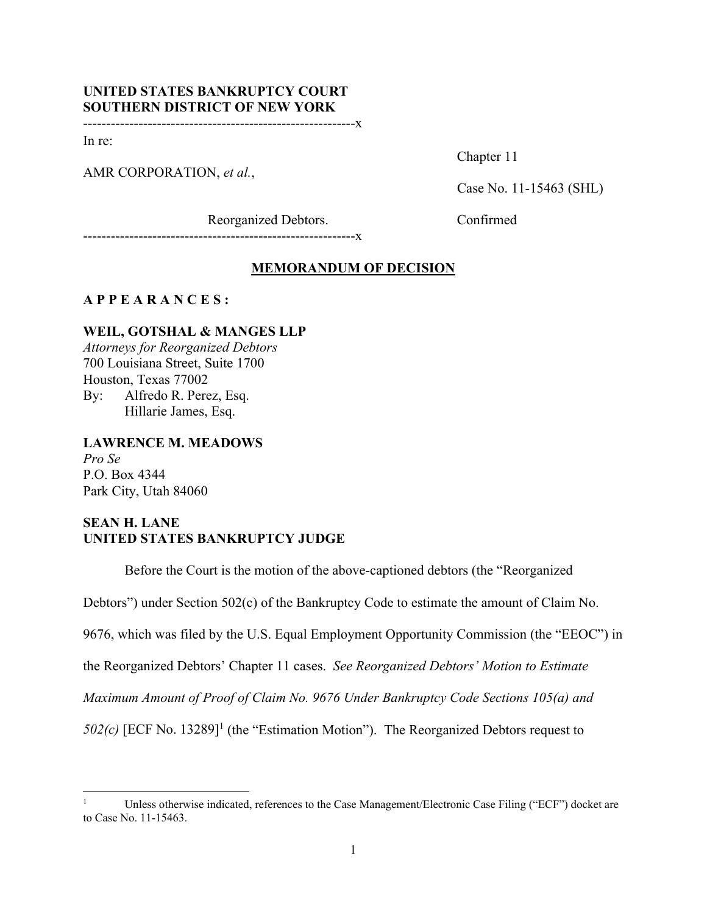# **UNITED STATES BANKRUPTCY COURT SOUTHERN DISTRICT OF NEW YORK**

-----------------------------------------------------------x

In re:

AMR CORPORATION, *et al.*,

Chapter 11

Case No. 11-15463 (SHL)

Reorganized Debtors. Confirmed

-----------------------------------------------------------x

## **MEMORANDUM OF DECISION**

## **A P P E A R A N C E S :**

# **WEIL, GOTSHAL & MANGES LLP**

*Attorneys for Reorganized Debtors*  700 Louisiana Street, Suite 1700 Houston, Texas 77002 By: Alfredo R. Perez, Esq. Hillarie James, Esq.

## **LAWRENCE M. MEADOWS**

*Pro Se*  P.O. Box 4344 Park City, Utah 84060

# **SEAN H. LANE UNITED STATES BANKRUPTCY JUDGE**

Before the Court is the motion of the above-captioned debtors (the "Reorganized

Debtors") under Section 502(c) of the Bankruptcy Code to estimate the amount of Claim No.

9676, which was filed by the U.S. Equal Employment Opportunity Commission (the "EEOC") in

the Reorganized Debtors' Chapter 11 cases. *See Reorganized Debtors' Motion to Estimate* 

*Maximum Amount of Proof of Claim No. 9676 Under Bankruptcy Code Sections 105(a) and* 

 $502(c)$  [ECF No. 13289]<sup>1</sup> (the "Estimation Motion"). The Reorganized Debtors request to

<sup>1</sup> Unless otherwise indicated, references to the Case Management/Electronic Case Filing ("ECF") docket are to Case No. 11-15463.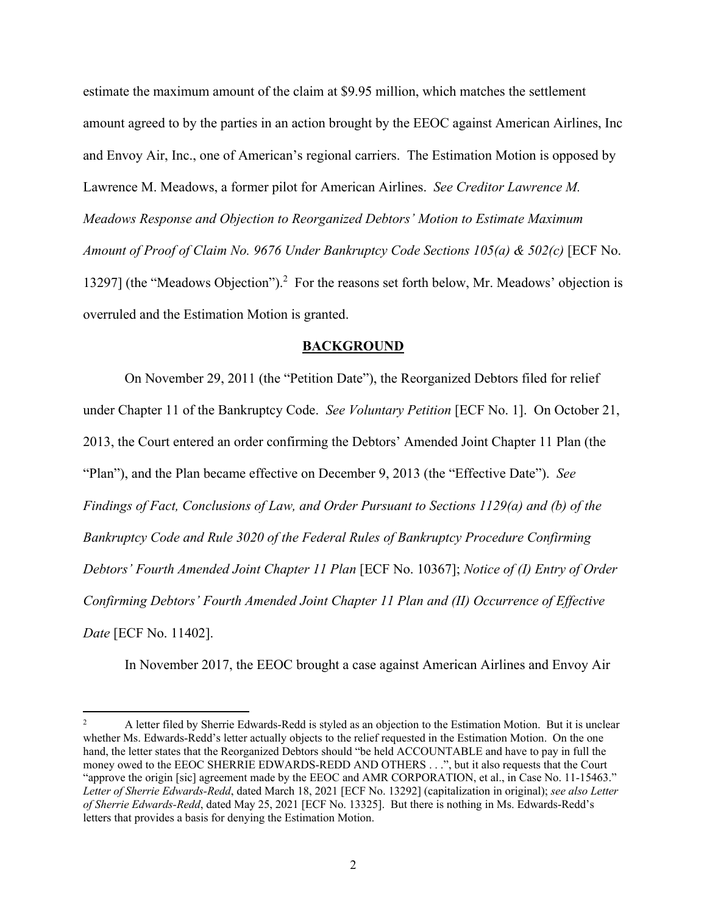estimate the maximum amount of the claim at \$9.95 million, which matches the settlement amount agreed to by the parties in an action brought by the EEOC against American Airlines, Inc and Envoy Air, Inc., one of American's regional carriers. The Estimation Motion is opposed by Lawrence M. Meadows, a former pilot for American Airlines. *See Creditor Lawrence M. Meadows Response and Objection to Reorganized Debtors' Motion to Estimate Maximum Amount of Proof of Claim No. 9676 Under Bankruptcy Code Sections 105(a) & 502(c)* [ECF No. 13297] (the "Meadows Objection").<sup>2</sup> For the reasons set forth below, Mr. Meadows' objection is overruled and the Estimation Motion is granted.

#### **BACKGROUND**

On November 29, 2011 (the "Petition Date"), the Reorganized Debtors filed for relief under Chapter 11 of the Bankruptcy Code. *See Voluntary Petition* [ECF No. 1]. On October 21, 2013, the Court entered an order confirming the Debtors' Amended Joint Chapter 11 Plan (the "Plan"), and the Plan became effective on December 9, 2013 (the "Effective Date"). *See Findings of Fact, Conclusions of Law, and Order Pursuant to Sections 1129(a) and (b) of the Bankruptcy Code and Rule 3020 of the Federal Rules of Bankruptcy Procedure Confirming Debtors' Fourth Amended Joint Chapter 11 Plan* [ECF No. 10367]; *Notice of (I) Entry of Order Confirming Debtors' Fourth Amended Joint Chapter 11 Plan and (II) Occurrence of Effective Date* [ECF No. 11402].

In November 2017, the EEOC brought a case against American Airlines and Envoy Air

<sup>2</sup> A letter filed by Sherrie Edwards-Redd is styled as an objection to the Estimation Motion. But it is unclear whether Ms. Edwards-Redd's letter actually objects to the relief requested in the Estimation Motion. On the one hand, the letter states that the Reorganized Debtors should "be held ACCOUNTABLE and have to pay in full the money owed to the EEOC SHERRIE EDWARDS-REDD AND OTHERS . . .", but it also requests that the Court "approve the origin [sic] agreement made by the EEOC and AMR CORPORATION, et al., in Case No. 11-15463." *Letter of Sherrie Edwards-Redd*, dated March 18, 2021 [ECF No. 13292] (capitalization in original); *see also Letter of Sherrie Edwards-Redd*, dated May 25, 2021 [ECF No. 13325]. But there is nothing in Ms. Edwards-Redd's letters that provides a basis for denying the Estimation Motion.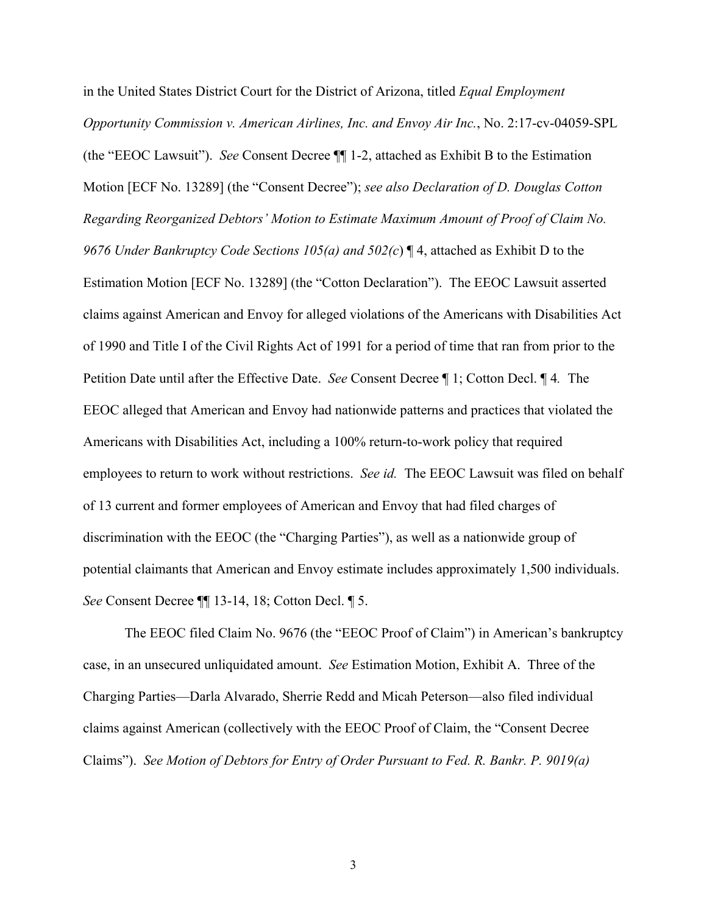in the United States District Court for the District of Arizona, titled *Equal Employment Opportunity Commission v. American Airlines, Inc. and Envoy Air Inc.*, No. 2:17-cv-04059-SPL (the "EEOC Lawsuit"). *See* Consent Decree ¶¶ 1-2, attached as Exhibit B to the Estimation Motion [ECF No. 13289] (the "Consent Decree"); *see also Declaration of D. Douglas Cotton Regarding Reorganized Debtors' Motion to Estimate Maximum Amount of Proof of Claim No. 9676 Under Bankruptcy Code Sections 105(a) and 502(c*) ¶ 4, attached as Exhibit D to the Estimation Motion [ECF No. 13289] (the "Cotton Declaration"). The EEOC Lawsuit asserted claims against American and Envoy for alleged violations of the Americans with Disabilities Act of 1990 and Title I of the Civil Rights Act of 1991 for a period of time that ran from prior to the Petition Date until after the Effective Date. *See* Consent Decree ¶ 1; Cotton Decl. ¶ 4*.* The EEOC alleged that American and Envoy had nationwide patterns and practices that violated the Americans with Disabilities Act, including a 100% return-to-work policy that required employees to return to work without restrictions. *See id.* The EEOC Lawsuit was filed on behalf of 13 current and former employees of American and Envoy that had filed charges of discrimination with the EEOC (the "Charging Parties"), as well as a nationwide group of potential claimants that American and Envoy estimate includes approximately 1,500 individuals. *See* Consent Decree ¶¶ 13-14, 18; Cotton Decl. ¶ 5.

The EEOC filed Claim No. 9676 (the "EEOC Proof of Claim") in American's bankruptcy case, in an unsecured unliquidated amount. *See* Estimation Motion, Exhibit A. Three of the Charging Parties—Darla Alvarado, Sherrie Redd and Micah Peterson—also filed individual claims against American (collectively with the EEOC Proof of Claim, the "Consent Decree Claims"). *See Motion of Debtors for Entry of Order Pursuant to Fed. R. Bankr. P. 9019(a)*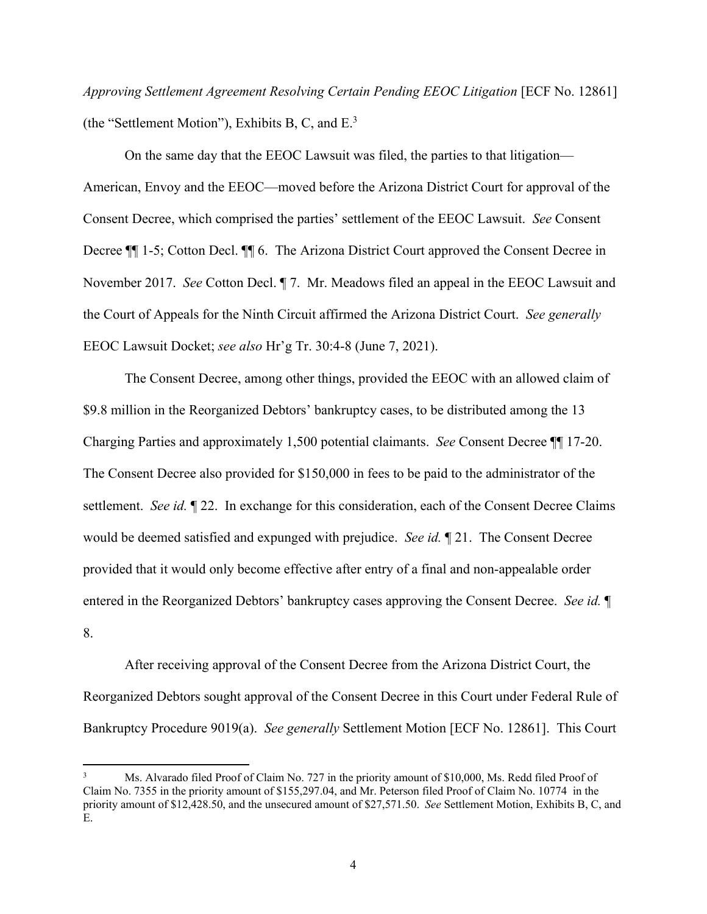*Approving Settlement Agreement Resolving Certain Pending EEOC Litigation* [ECF No. 12861] (the "Settlement Motion"), Exhibits B, C, and E.3

 On the same day that the EEOC Lawsuit was filed, the parties to that litigation— American, Envoy and the EEOC—moved before the Arizona District Court for approval of the Consent Decree, which comprised the parties' settlement of the EEOC Lawsuit. *See* Consent Decree  $\P$  1-5; Cotton Decl.  $\P$  6. The Arizona District Court approved the Consent Decree in November 2017. *See* Cotton Decl. ¶ 7. Mr. Meadows filed an appeal in the EEOC Lawsuit and the Court of Appeals for the Ninth Circuit affirmed the Arizona District Court. *See generally*  EEOC Lawsuit Docket; *see also* Hr'g Tr. 30:4-8 (June 7, 2021).

 The Consent Decree, among other things, provided the EEOC with an allowed claim of \$9.8 million in the Reorganized Debtors' bankruptcy cases, to be distributed among the 13 Charging Parties and approximately 1,500 potential claimants. *See* Consent Decree ¶¶ 17-20. The Consent Decree also provided for \$150,000 in fees to be paid to the administrator of the settlement. *See id.* ¶ 22. In exchange for this consideration, each of the Consent Decree Claims would be deemed satisfied and expunged with prejudice. *See id.* ¶ 21. The Consent Decree provided that it would only become effective after entry of a final and non-appealable order entered in the Reorganized Debtors' bankruptcy cases approving the Consent Decree. *See id.* ¶ 8.

 After receiving approval of the Consent Decree from the Arizona District Court, the Reorganized Debtors sought approval of the Consent Decree in this Court under Federal Rule of Bankruptcy Procedure 9019(a). *See generally* Settlement Motion [ECF No. 12861]. This Court

<sup>3</sup> Ms. Alvarado filed Proof of Claim No. 727 in the priority amount of \$10,000, Ms. Redd filed Proof of Claim No. 7355 in the priority amount of \$155,297.04, and Mr. Peterson filed Proof of Claim No. 10774 in the priority amount of \$12,428.50, and the unsecured amount of \$27,571.50. *See* Settlement Motion, Exhibits B, C, and E.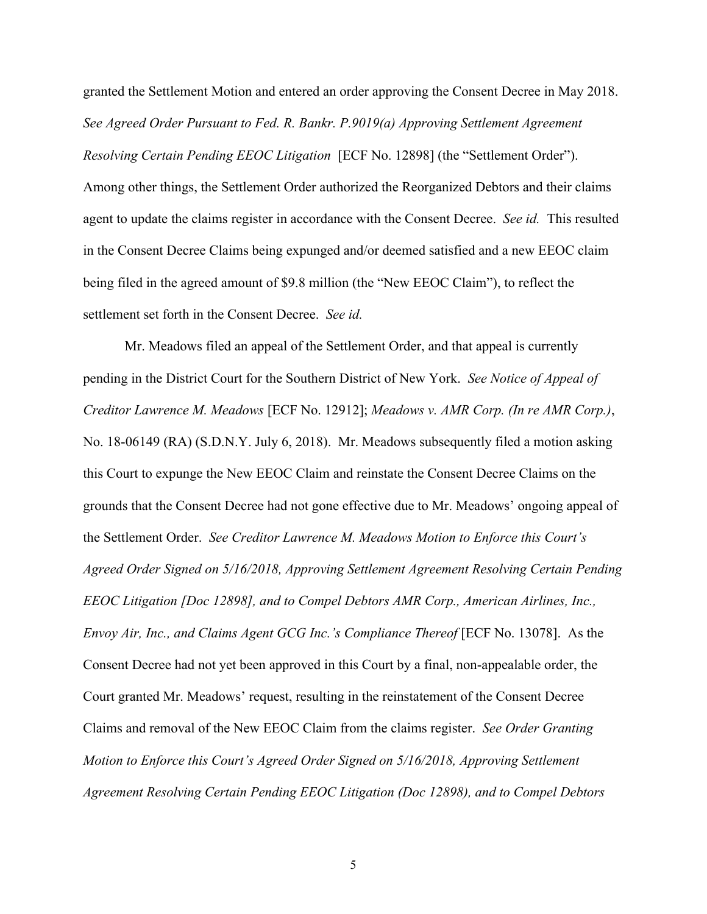granted the Settlement Motion and entered an order approving the Consent Decree in May 2018. *See Agreed Order Pursuant to Fed. R. Bankr. P.9019(a) Approving Settlement Agreement Resolving Certain Pending EEOC Litigation* [ECF No. 12898] (the "Settlement Order"). Among other things, the Settlement Order authorized the Reorganized Debtors and their claims agent to update the claims register in accordance with the Consent Decree. *See id.* This resulted in the Consent Decree Claims being expunged and/or deemed satisfied and a new EEOC claim being filed in the agreed amount of \$9.8 million (the "New EEOC Claim"), to reflect the settlement set forth in the Consent Decree. *See id.*

 Mr. Meadows filed an appeal of the Settlement Order, and that appeal is currently pending in the District Court for the Southern District of New York. *See Notice of Appeal of Creditor Lawrence M. Meadows* [ECF No. 12912]; *Meadows v. AMR Corp. (In re AMR Corp.)*, No. 18-06149 (RA) (S.D.N.Y. July 6, 2018). Mr. Meadows subsequently filed a motion asking this Court to expunge the New EEOC Claim and reinstate the Consent Decree Claims on the grounds that the Consent Decree had not gone effective due to Mr. Meadows' ongoing appeal of the Settlement Order. *See Creditor Lawrence M. Meadows Motion to Enforce this Court's Agreed Order Signed on 5/16/2018, Approving Settlement Agreement Resolving Certain Pending EEOC Litigation [Doc 12898], and to Compel Debtors AMR Corp., American Airlines, Inc., Envoy Air, Inc., and Claims Agent GCG Inc.'s Compliance Thereof* [ECF No. 13078]. As the Consent Decree had not yet been approved in this Court by a final, non-appealable order, the Court granted Mr. Meadows' request, resulting in the reinstatement of the Consent Decree Claims and removal of the New EEOC Claim from the claims register. *See Order Granting Motion to Enforce this Court's Agreed Order Signed on 5/16/2018, Approving Settlement Agreement Resolving Certain Pending EEOC Litigation (Doc 12898), and to Compel Debtors*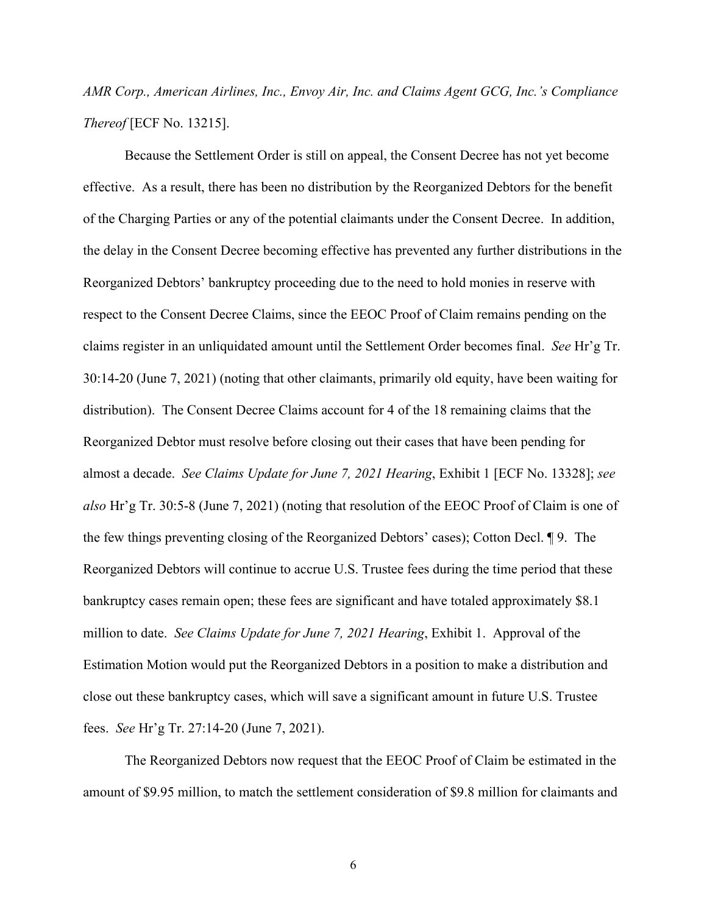# *AMR Corp., American Airlines, Inc., Envoy Air, Inc. and Claims Agent GCG, Inc.'s Compliance Thereof* [ECF No. 13215].

 Because the Settlement Order is still on appeal, the Consent Decree has not yet become effective. As a result, there has been no distribution by the Reorganized Debtors for the benefit of the Charging Parties or any of the potential claimants under the Consent Decree. In addition, the delay in the Consent Decree becoming effective has prevented any further distributions in the Reorganized Debtors' bankruptcy proceeding due to the need to hold monies in reserve with respect to the Consent Decree Claims, since the EEOC Proof of Claim remains pending on the claims register in an unliquidated amount until the Settlement Order becomes final. *See* Hr'g Tr. 30:14-20 (June 7, 2021) (noting that other claimants, primarily old equity, have been waiting for distribution). The Consent Decree Claims account for 4 of the 18 remaining claims that the Reorganized Debtor must resolve before closing out their cases that have been pending for almost a decade. *See Claims Update for June 7, 2021 Hearing*, Exhibit 1 [ECF No. 13328]; *see also* Hr'g Tr. 30:5-8 (June 7, 2021) (noting that resolution of the EEOC Proof of Claim is one of the few things preventing closing of the Reorganized Debtors' cases); Cotton Decl. ¶ 9. The Reorganized Debtors will continue to accrue U.S. Trustee fees during the time period that these bankruptcy cases remain open; these fees are significant and have totaled approximately \$8.1 million to date. *See Claims Update for June 7, 2021 Hearing*, Exhibit 1. Approval of the Estimation Motion would put the Reorganized Debtors in a position to make a distribution and close out these bankruptcy cases, which will save a significant amount in future U.S. Trustee fees. *See* Hr'g Tr. 27:14-20 (June 7, 2021).

The Reorganized Debtors now request that the EEOC Proof of Claim be estimated in the amount of \$9.95 million, to match the settlement consideration of \$9.8 million for claimants and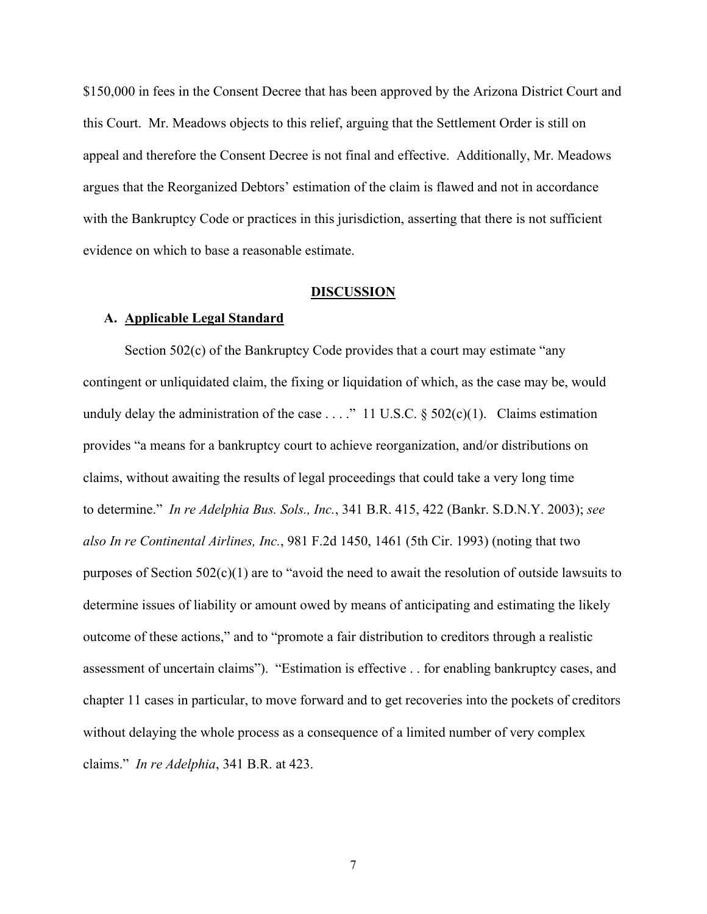\$150,000 in fees in the Consent Decree that has been approved by the Arizona District Court and this Court. Mr. Meadows objects to this relief, arguing that the Settlement Order is still on appeal and therefore the Consent Decree is not final and effective. Additionally, Mr. Meadows argues that the Reorganized Debtors' estimation of the claim is flawed and not in accordance with the Bankruptcy Code or practices in this jurisdiction, asserting that there is not sufficient evidence on which to base a reasonable estimate.

#### **DISCUSSION**

#### **A. Applicable Legal Standard**

Section 502(c) of the Bankruptcy Code provides that a court may estimate "any contingent or unliquidated claim, the fixing or liquidation of which, as the case may be, would unduly delay the administration of the case . . . ." 11 U.S.C.  $\S$  502(c)(1). Claims estimation provides "a means for a bankruptcy court to achieve reorganization, and/or distributions on claims, without awaiting the results of legal proceedings that could take a very long time to determine." *In re Adelphia Bus. Sols., Inc.*, 341 B.R. 415, 422 (Bankr. S.D.N.Y. 2003); *see also In re Continental Airlines, Inc.*, 981 F.2d 1450, 1461 (5th Cir. 1993) (noting that two purposes of Section 502(c)(1) are to "avoid the need to await the resolution of outside lawsuits to determine issues of liability or amount owed by means of anticipating and estimating the likely outcome of these actions," and to "promote a fair distribution to creditors through a realistic assessment of uncertain claims"). "Estimation is effective . . for enabling bankruptcy cases, and chapter 11 cases in particular, to move forward and to get recoveries into the pockets of creditors without delaying the whole process as a consequence of a limited number of very complex claims." *In re Adelphia*, 341 B.R. at 423.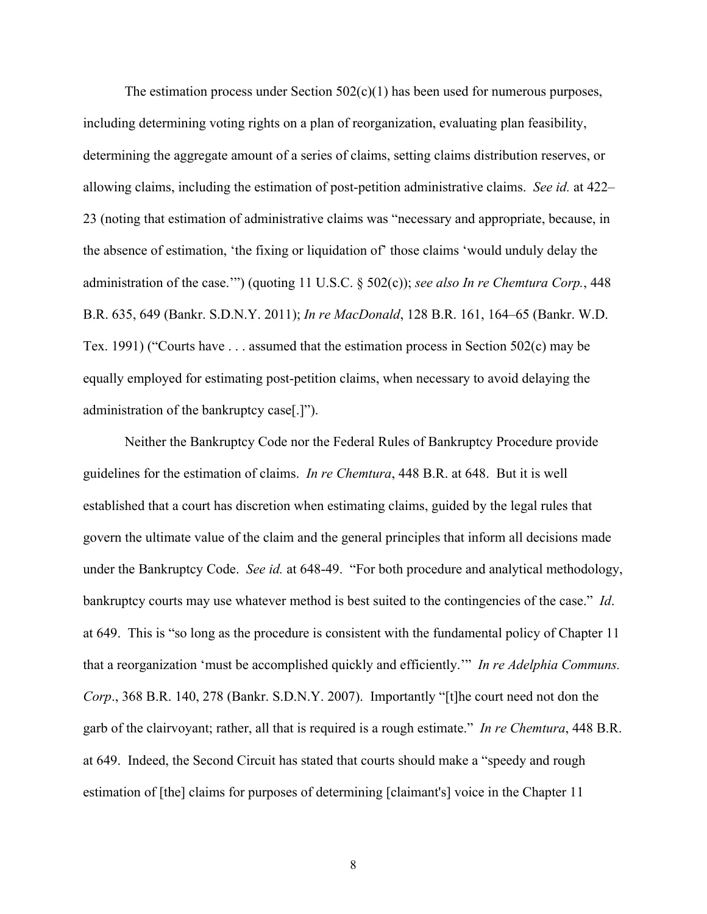The estimation process under Section  $502(c)(1)$  has been used for numerous purposes, including determining voting rights on a plan of reorganization, evaluating plan feasibility, determining the aggregate amount of a series of claims, setting claims distribution reserves, or allowing claims, including the estimation of post-petition administrative claims. *See id.* at 422– 23 (noting that estimation of administrative claims was "necessary and appropriate, because, in the absence of estimation, 'the fixing or liquidation of' those claims 'would unduly delay the administration of the case.'") (quoting 11 U.S.C. § 502(c)); *see also In re Chemtura Corp.*, 448 B.R. 635, 649 (Bankr. S.D.N.Y. 2011); *In re MacDonald*, 128 B.R. 161, 164–65 (Bankr. W.D. Tex. 1991) ("Courts have . . . assumed that the estimation process in Section 502(c) may be equally employed for estimating post-petition claims, when necessary to avoid delaying the administration of the bankruptcy case[.]").

Neither the Bankruptcy Code nor the Federal Rules of Bankruptcy Procedure provide guidelines for the estimation of claims. *In re Chemtura*, 448 B.R. at 648. But it is well established that a court has discretion when estimating claims, guided by the legal rules that govern the ultimate value of the claim and the general principles that inform all decisions made under the Bankruptcy Code. *See id.* at 648-49. "For both procedure and analytical methodology, bankruptcy courts may use whatever method is best suited to the contingencies of the case." *Id*. at 649. This is "so long as the procedure is consistent with the fundamental policy of Chapter 11 that a reorganization 'must be accomplished quickly and efficiently.'" *In re Adelphia Communs. Corp*., 368 B.R. 140, 278 (Bankr. S.D.N.Y. 2007). Importantly "[t]he court need not don the garb of the clairvoyant; rather, all that is required is a rough estimate." *In re Chemtura*, 448 B.R. at 649. Indeed, the Second Circuit has stated that courts should make a "speedy and rough estimation of [the] claims for purposes of determining [claimant's] voice in the Chapter 11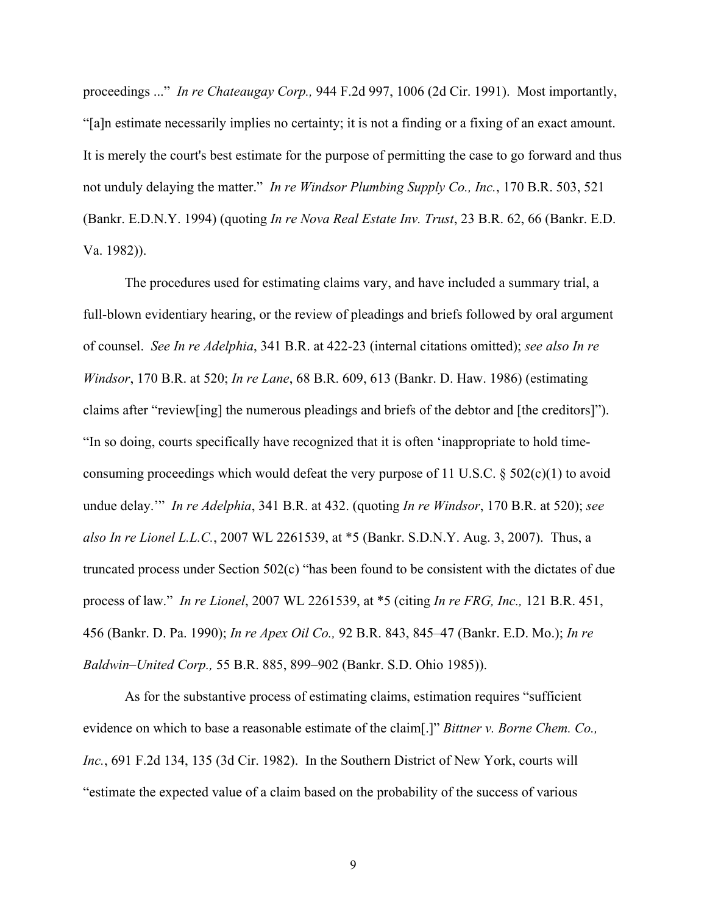proceedings ..." *In re Chateaugay Corp.,* 944 F.2d 997, 1006 (2d Cir. 1991). Most importantly, "[a]n estimate necessarily implies no certainty; it is not a finding or a fixing of an exact amount. It is merely the court's best estimate for the purpose of permitting the case to go forward and thus not unduly delaying the matter." *In re Windsor Plumbing Supply Co., Inc.*, 170 B.R. 503, 521 (Bankr. E.D.N.Y. 1994) (quoting *In re Nova Real Estate Inv. Trust*, 23 B.R. 62, 66 (Bankr. E.D. Va. 1982)).

The procedures used for estimating claims vary, and have included a summary trial, a full-blown evidentiary hearing, or the review of pleadings and briefs followed by oral argument of counsel. *See In re Adelphia*, 341 B.R. at 422-23 (internal citations omitted); *see also In re Windsor*, 170 B.R. at 520; *In re Lane*, 68 B.R. 609, 613 (Bankr. D. Haw. 1986) (estimating claims after "review[ing] the numerous pleadings and briefs of the debtor and [the creditors]"). "In so doing, courts specifically have recognized that it is often 'inappropriate to hold timeconsuming proceedings which would defeat the very purpose of 11 U.S.C.  $\S 502(c)(1)$  to avoid undue delay.'" *In re Adelphia*, 341 B.R. at 432. (quoting *In re Windsor*, 170 B.R. at 520); *see also In re Lionel L.L.C.*, 2007 WL 2261539, at \*5 (Bankr. S.D.N.Y. Aug. 3, 2007). Thus, a truncated process under Section 502(c) "has been found to be consistent with the dictates of due process of law." *In re Lionel*, 2007 WL 2261539, at \*5 (citing *In re FRG, Inc.,* 121 B.R. 451, 456 (Bankr. D. Pa. 1990); *In re Apex Oil Co.,* 92 B.R. 843, 845–47 (Bankr. E.D. Mo.); *In re Baldwin–United Corp.,* 55 B.R. 885, 899–902 (Bankr. S.D. Ohio 1985)).

As for the substantive process of estimating claims, estimation requires "sufficient evidence on which to base a reasonable estimate of the claim[.]" *Bittner v. Borne Chem. Co., Inc.*, 691 F.2d 134, 135 (3d Cir. 1982). In the Southern District of New York, courts will "estimate the expected value of a claim based on the probability of the success of various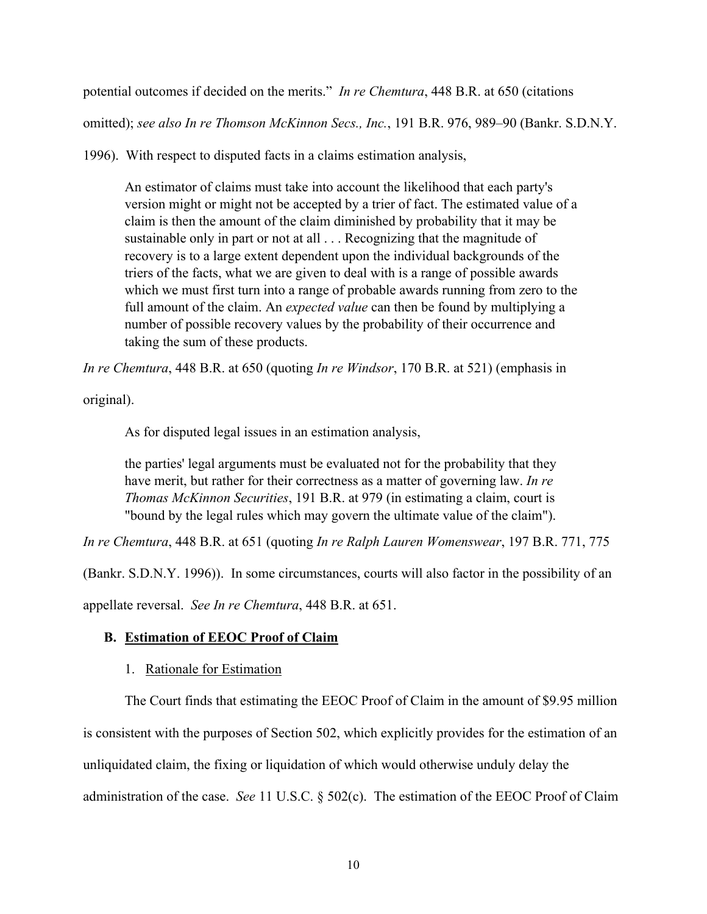potential outcomes if decided on the merits." *In re Chemtura*, 448 B.R. at 650 (citations omitted); *see also In re Thomson McKinnon Secs., Inc.*, 191 B.R. 976, 989–90 (Bankr. S.D.N.Y.

1996). With respect to disputed facts in a claims estimation analysis,

An estimator of claims must take into account the likelihood that each party's version might or might not be accepted by a trier of fact. The estimated value of a claim is then the amount of the claim diminished by probability that it may be sustainable only in part or not at all . . . Recognizing that the magnitude of recovery is to a large extent dependent upon the individual backgrounds of the triers of the facts, what we are given to deal with is a range of possible awards which we must first turn into a range of probable awards running from zero to the full amount of the claim. An *expected value* can then be found by multiplying a number of possible recovery values by the probability of their occurrence and taking the sum of these products.

*In re Chemtura*, 448 B.R. at 650 (quoting *In re Windsor*, 170 B.R. at 521) (emphasis in

original).

As for disputed legal issues in an estimation analysis,

the parties' legal arguments must be evaluated not for the probability that they have merit, but rather for their correctness as a matter of governing law. *In re Thomas McKinnon Securities*, 191 B.R. at 979 (in estimating a claim, court is "bound by the legal rules which may govern the ultimate value of the claim").

*In re Chemtura*, 448 B.R. at 651 (quoting *In re Ralph Lauren Womenswear*, 197 B.R. 771, 775

(Bankr. S.D.N.Y. 1996)). In some circumstances, courts will also factor in the possibility of an

appellate reversal. *See In re Chemtura*, 448 B.R. at 651.

#### **B. Estimation of EEOC Proof of Claim**

#### 1. Rationale for Estimation

The Court finds that estimating the EEOC Proof of Claim in the amount of \$9.95 million is consistent with the purposes of Section 502, which explicitly provides for the estimation of an unliquidated claim, the fixing or liquidation of which would otherwise unduly delay the administration of the case. *See* 11 U.S.C. § 502(c). The estimation of the EEOC Proof of Claim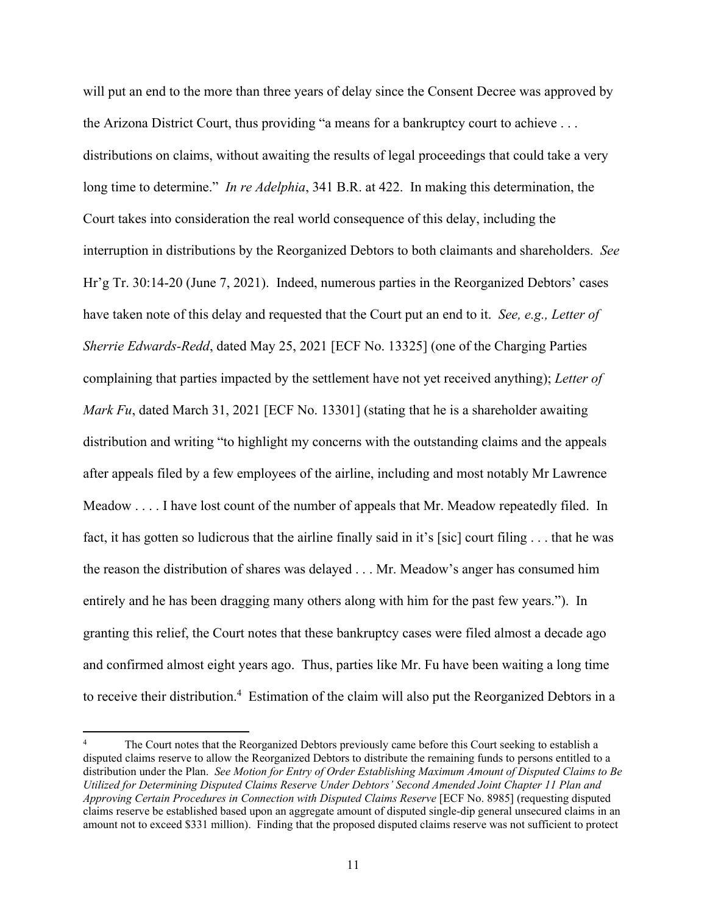will put an end to the more than three years of delay since the Consent Decree was approved by the Arizona District Court, thus providing "a means for a bankruptcy court to achieve . . . distributions on claims, without awaiting the results of legal proceedings that could take a very long time to determine." *In re Adelphia*, 341 B.R. at 422. In making this determination, the Court takes into consideration the real world consequence of this delay, including the interruption in distributions by the Reorganized Debtors to both claimants and shareholders. *See*  Hr'g Tr. 30:14-20 (June 7, 2021). Indeed, numerous parties in the Reorganized Debtors' cases have taken note of this delay and requested that the Court put an end to it. *See, e.g., Letter of Sherrie Edwards-Redd*, dated May 25, 2021 [ECF No. 13325] (one of the Charging Parties complaining that parties impacted by the settlement have not yet received anything); *Letter of Mark Fu*, dated March 31, 2021 [ECF No. 13301] (stating that he is a shareholder awaiting distribution and writing "to highlight my concerns with the outstanding claims and the appeals after appeals filed by a few employees of the airline, including and most notably Mr Lawrence Meadow . . . . I have lost count of the number of appeals that Mr. Meadow repeatedly filed. In fact, it has gotten so ludicrous that the airline finally said in it's [sic] court filing . . . that he was the reason the distribution of shares was delayed . . . Mr. Meadow's anger has consumed him entirely and he has been dragging many others along with him for the past few years."). In granting this relief, the Court notes that these bankruptcy cases were filed almost a decade ago and confirmed almost eight years ago. Thus, parties like Mr. Fu have been waiting a long time to receive their distribution.<sup>4</sup> Estimation of the claim will also put the Reorganized Debtors in a

<sup>4</sup> The Court notes that the Reorganized Debtors previously came before this Court seeking to establish a disputed claims reserve to allow the Reorganized Debtors to distribute the remaining funds to persons entitled to a distribution under the Plan. *See Motion for Entry of Order Establishing Maximum Amount of Disputed Claims to Be Utilized for Determining Disputed Claims Reserve Under Debtors' Second Amended Joint Chapter 11 Plan and Approving Certain Procedures in Connection with Disputed Claims Reserve* [ECF No. 8985] (requesting disputed claims reserve be established based upon an aggregate amount of disputed single-dip general unsecured claims in an amount not to exceed \$331 million). Finding that the proposed disputed claims reserve was not sufficient to protect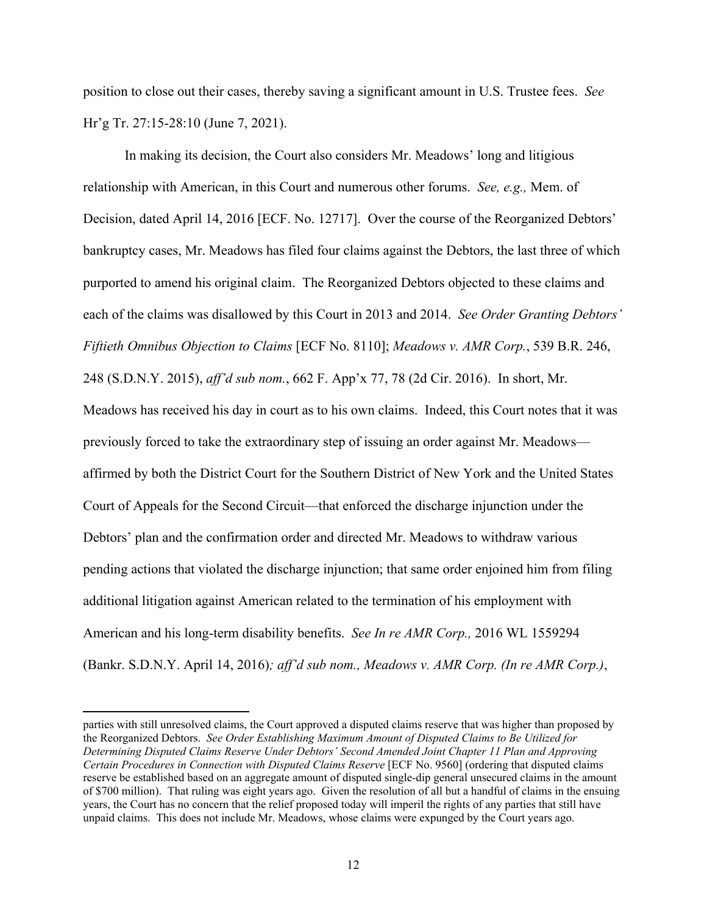position to close out their cases, thereby saving a significant amount in U.S. Trustee fees. *See* Hr'g Tr. 27:15-28:10 (June 7, 2021).

In making its decision, the Court also considers Mr. Meadows' long and litigious relationship with American, in this Court and numerous other forums. *See, e.g.,* Mem. of Decision, dated April 14, 2016 [ECF. No. 12717]. Over the course of the Reorganized Debtors' bankruptcy cases, Mr. Meadows has filed four claims against the Debtors, the last three of which purported to amend his original claim. The Reorganized Debtors objected to these claims and each of the claims was disallowed by this Court in 2013 and 2014. *See Order Granting Debtors' Fiftieth Omnibus Objection to Claims* [ECF No. 8110]; *Meadows v. AMR Corp.*, 539 B.R. 246, 248 (S.D.N.Y. 2015), *aff'd sub nom.*, 662 F. App'x 77, 78 (2d Cir. 2016). In short, Mr. Meadows has received his day in court as to his own claims. Indeed, this Court notes that it was previously forced to take the extraordinary step of issuing an order against Mr. Meadows affirmed by both the District Court for the Southern District of New York and the United States Court of Appeals for the Second Circuit—that enforced the discharge injunction under the Debtors' plan and the confirmation order and directed Mr. Meadows to withdraw various pending actions that violated the discharge injunction; that same order enjoined him from filing additional litigation against American related to the termination of his employment with American and his long-term disability benefits. *See In re AMR Corp.,* 2016 WL 1559294 (Bankr. S.D.N.Y. April 14, 2016)*; aff'd sub nom., Meadows v. AMR Corp. (In re AMR Corp.)*,

parties with still unresolved claims, the Court approved a disputed claims reserve that was higher than proposed by the Reorganized Debtors. *See Order Establishing Maximum Amount of Disputed Claims to Be Utilized for Determining Disputed Claims Reserve Under Debtors' Second Amended Joint Chapter 11 Plan and Approving Certain Procedures in Connection with Disputed Claims Reserve* [ECF No. 9560] (ordering that disputed claims reserve be established based on an aggregate amount of disputed single-dip general unsecured claims in the amount of \$700 million). That ruling was eight years ago. Given the resolution of all but a handful of claims in the ensuing years, the Court has no concern that the relief proposed today will imperil the rights of any parties that still have unpaid claims. This does not include Mr. Meadows, whose claims were expunged by the Court years ago.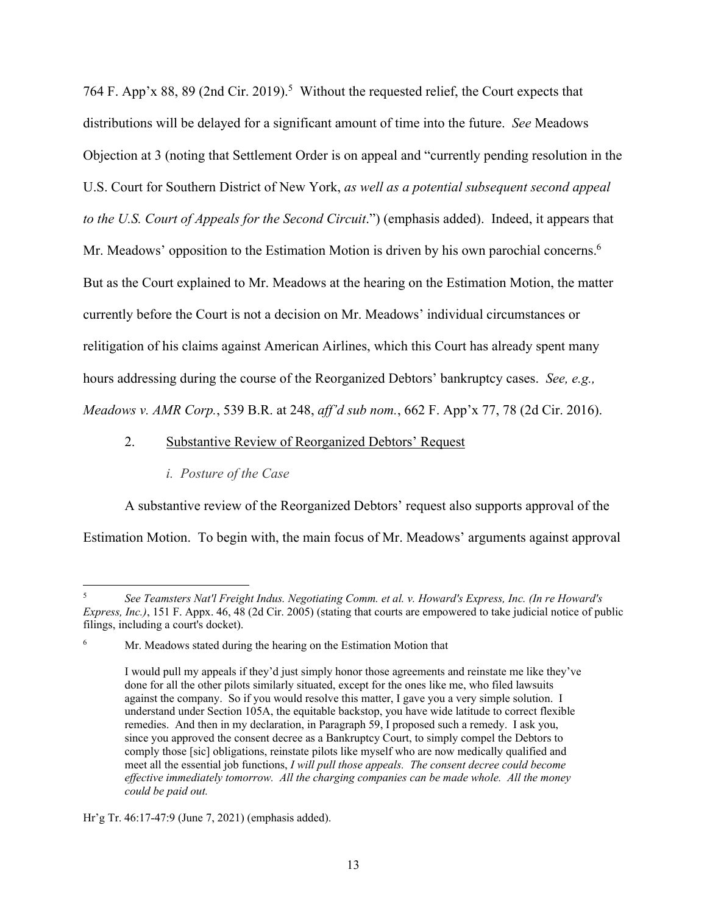764 F. App'x 88, 89 (2nd Cir. 2019).<sup>5</sup> Without the requested relief, the Court expects that distributions will be delayed for a significant amount of time into the future. *See* Meadows Objection at 3 (noting that Settlement Order is on appeal and "currently pending resolution in the U.S. Court for Southern District of New York, *as well as a potential subsequent second appeal to the U.S. Court of Appeals for the Second Circuit*.") (emphasis added). Indeed, it appears that Mr. Meadows' opposition to the Estimation Motion is driven by his own parochial concerns.<sup>6</sup> But as the Court explained to Mr. Meadows at the hearing on the Estimation Motion, the matter currently before the Court is not a decision on Mr. Meadows' individual circumstances or relitigation of his claims against American Airlines, which this Court has already spent many hours addressing during the course of the Reorganized Debtors' bankruptcy cases. *See, e.g., Meadows v. AMR Corp.*, 539 B.R. at 248, *aff'd sub nom.*, 662 F. App'x 77, 78 (2d Cir. 2016).

#### 2. Substantive Review of Reorganized Debtors' Request

# *i. Posture of the Case*

 A substantive review of the Reorganized Debtors' request also supports approval of the Estimation Motion. To begin with, the main focus of Mr. Meadows' arguments against approval

<sup>5</sup> *See Teamsters Nat'l Freight Indus. Negotiating Comm. et al. v. Howard's Express, Inc. (In re Howard's Express, Inc.)*, 151 F. Appx. 46, 48 (2d Cir. 2005) (stating that courts are empowered to take judicial notice of public filings, including a court's docket).

<sup>6</sup> Mr. Meadows stated during the hearing on the Estimation Motion that

I would pull my appeals if they'd just simply honor those agreements and reinstate me like they've done for all the other pilots similarly situated, except for the ones like me, who filed lawsuits against the company. So if you would resolve this matter, I gave you a very simple solution. I understand under Section 105A, the equitable backstop, you have wide latitude to correct flexible remedies. And then in my declaration, in Paragraph 59, I proposed such a remedy. I ask you, since you approved the consent decree as a Bankruptcy Court, to simply compel the Debtors to comply those [sic] obligations, reinstate pilots like myself who are now medically qualified and meet all the essential job functions, *I will pull those appeals. The consent decree could become effective immediately tomorrow. All the charging companies can be made whole. All the money could be paid out.*

Hr'g Tr. 46:17-47:9 (June 7, 2021) (emphasis added).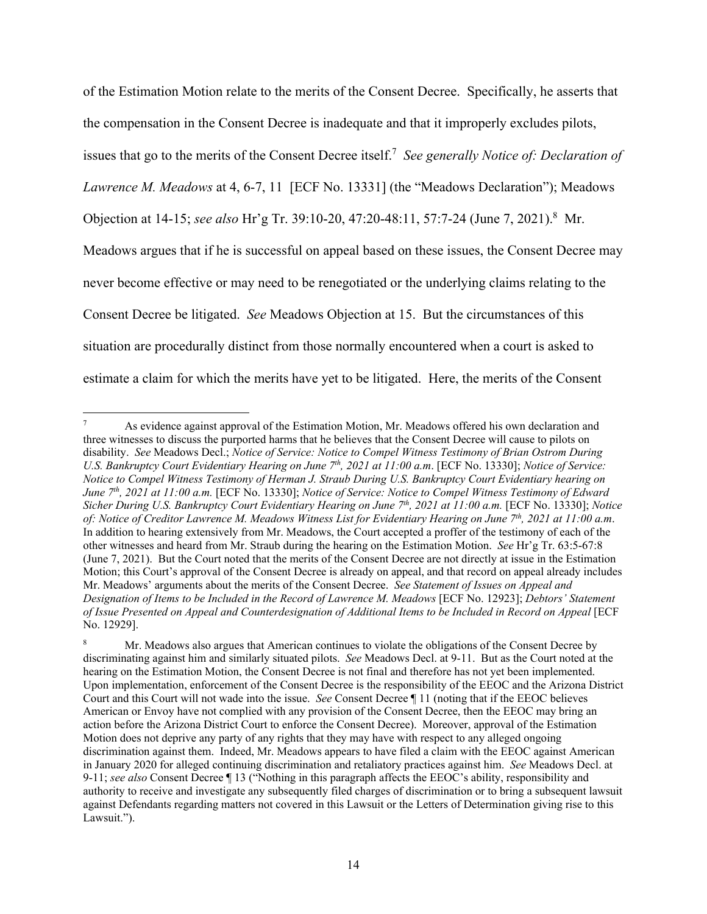of the Estimation Motion relate to the merits of the Consent Decree. Specifically, he asserts that the compensation in the Consent Decree is inadequate and that it improperly excludes pilots, issues that go to the merits of the Consent Decree itself.<sup>7</sup> See generally Notice of: Declaration of *Lawrence M. Meadows* at 4, 6-7, 11 [ECF No. 13331] (the "Meadows Declaration"); Meadows Objection at 14-15; *see also* Hr'g Tr. 39:10-20, 47:20-48:11, 57:7-24 (June 7, 2021).<sup>8</sup> Mr. Meadows argues that if he is successful on appeal based on these issues, the Consent Decree may never become effective or may need to be renegotiated or the underlying claims relating to the Consent Decree be litigated. *See* Meadows Objection at 15. But the circumstances of this situation are procedurally distinct from those normally encountered when a court is asked to estimate a claim for which the merits have yet to be litigated. Here, the merits of the Consent

<sup>7</sup> As evidence against approval of the Estimation Motion, Mr. Meadows offered his own declaration and three witnesses to discuss the purported harms that he believes that the Consent Decree will cause to pilots on disability. *See* Meadows Decl.; *Notice of Service: Notice to Compel Witness Testimony of Brian Ostrom During U.S. Bankruptcy Court Evidentiary Hearing on June 7th, 2021 at 11:00 a.m*. [ECF No. 13330]; *Notice of Service: Notice to Compel Witness Testimony of Herman J. Straub During U.S. Bankruptcy Court Evidentiary hearing on June 7th, 2021 at 11:00 a.m.* [ECF No. 13330]; *Notice of Service: Notice to Compel Witness Testimony of Edward Sicher During U.S. Bankruptcy Court Evidentiary Hearing on June 7th, 2021 at 11:00 a.m.* [ECF No. 13330]; *Notice of: Notice of Creditor Lawrence M. Meadows Witness List for Evidentiary Hearing on June 7th, 2021 at 11:00 a.m*. In addition to hearing extensively from Mr. Meadows, the Court accepted a proffer of the testimony of each of the other witnesses and heard from Mr. Straub during the hearing on the Estimation Motion. *See* Hr'g Tr. 63:5-67:8 (June 7, 2021). But the Court noted that the merits of the Consent Decree are not directly at issue in the Estimation Motion; this Court's approval of the Consent Decree is already on appeal, and that record on appeal already includes Mr. Meadows' arguments about the merits of the Consent Decree. *See Statement of Issues on Appeal and Designation of Items to be Included in the Record of Lawrence M. Meadows* [ECF No. 12923]; *Debtors' Statement of Issue Presented on Appeal and Counterdesignation of Additional Items to be Included in Record on Appeal* [ECF No. 12929].

<sup>8</sup> Mr. Meadows also argues that American continues to violate the obligations of the Consent Decree by discriminating against him and similarly situated pilots. *See* Meadows Decl. at 9-11.But as the Court noted at the hearing on the Estimation Motion, the Consent Decree is not final and therefore has not yet been implemented. Upon implementation, enforcement of the Consent Decree is the responsibility of the EEOC and the Arizona District Court and this Court will not wade into the issue. *See* Consent Decree ¶ 11 (noting that if the EEOC believes American or Envoy have not complied with any provision of the Consent Decree, then the EEOC may bring an action before the Arizona District Court to enforce the Consent Decree). Moreover, approval of the Estimation Motion does not deprive any party of any rights that they may have with respect to any alleged ongoing discrimination against them. Indeed, Mr. Meadows appears to have filed a claim with the EEOC against American in January 2020 for alleged continuing discrimination and retaliatory practices against him. *See* Meadows Decl. at 9-11; *see also* Consent Decree ¶ 13 ("Nothing in this paragraph affects the EEOC's ability, responsibility and authority to receive and investigate any subsequently filed charges of discrimination or to bring a subsequent lawsuit against Defendants regarding matters not covered in this Lawsuit or the Letters of Determination giving rise to this Lawsuit.").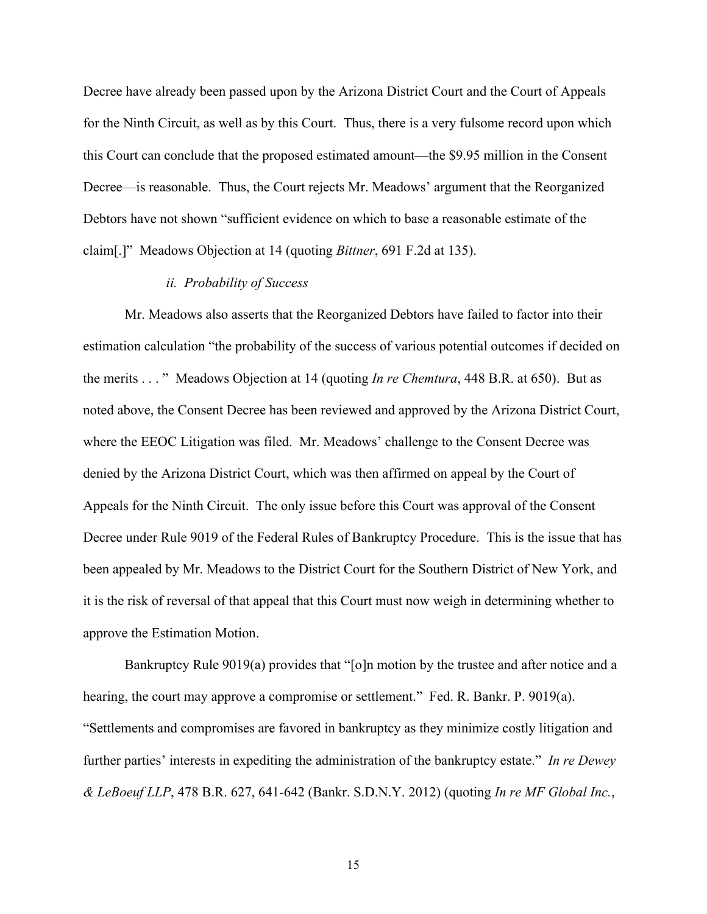Decree have already been passed upon by the Arizona District Court and the Court of Appeals for the Ninth Circuit, as well as by this Court. Thus, there is a very fulsome record upon which this Court can conclude that the proposed estimated amount—the \$9.95 million in the Consent Decree—is reasonable. Thus, the Court rejects Mr. Meadows' argument that the Reorganized Debtors have not shown "sufficient evidence on which to base a reasonable estimate of the claim[.]" Meadows Objection at 14 (quoting *Bittner*, 691 F.2d at 135).

#### *ii. Probability of Success*

Mr. Meadows also asserts that the Reorganized Debtors have failed to factor into their estimation calculation "the probability of the success of various potential outcomes if decided on the merits . . . " Meadows Objection at 14 (quoting *In re Chemtura*, 448 B.R. at 650). But as noted above, the Consent Decree has been reviewed and approved by the Arizona District Court, where the EEOC Litigation was filed. Mr. Meadows' challenge to the Consent Decree was denied by the Arizona District Court, which was then affirmed on appeal by the Court of Appeals for the Ninth Circuit. The only issue before this Court was approval of the Consent Decree under Rule 9019 of the Federal Rules of Bankruptcy Procedure. This is the issue that has been appealed by Mr. Meadows to the District Court for the Southern District of New York, and it is the risk of reversal of that appeal that this Court must now weigh in determining whether to approve the Estimation Motion.

Bankruptcy Rule 9019(a) provides that "[o]n motion by the trustee and after notice and a hearing, the court may approve a compromise or settlement." Fed. R. Bankr. P. 9019(a). "Settlements and compromises are favored in bankruptcy as they minimize costly litigation and further parties' interests in expediting the administration of the bankruptcy estate." *In re Dewey & LeBoeuf LLP*, 478 B.R. 627, 641-642 (Bankr. S.D.N.Y. 2012) (quoting *In re MF Global Inc.*,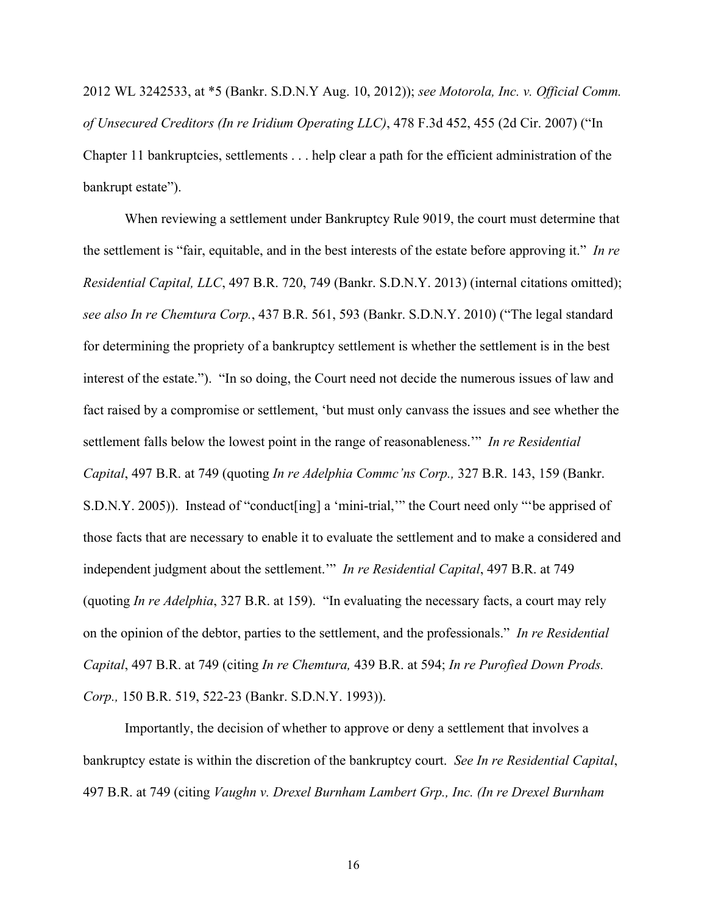2012 WL 3242533, at \*5 (Bankr. S.D.N.Y Aug. 10, 2012)); *see Motorola, Inc. v. Official Comm. of Unsecured Creditors (In re Iridium Operating LLC)*, 478 F.3d 452, 455 (2d Cir. 2007) ("In Chapter 11 bankruptcies, settlements . . . help clear a path for the efficient administration of the bankrupt estate").

When reviewing a settlement under Bankruptcy Rule 9019, the court must determine that the settlement is "fair, equitable, and in the best interests of the estate before approving it." *In re Residential Capital, LLC*, 497 B.R. 720, 749 (Bankr. S.D.N.Y. 2013) (internal citations omitted); *see also In re Chemtura Corp.*, 437 B.R. 561, 593 (Bankr. S.D.N.Y. 2010) ("The legal standard for determining the propriety of a bankruptcy settlement is whether the settlement is in the best interest of the estate."). "In so doing, the Court need not decide the numerous issues of law and fact raised by a compromise or settlement, 'but must only canvass the issues and see whether the settlement falls below the lowest point in the range of reasonableness.'" *In re Residential Capital*, 497 B.R. at 749 (quoting *In re Adelphia Commc'ns Corp.,* 327 B.R. 143, 159 (Bankr. S.D.N.Y. 2005)). Instead of "conduct[ing] a 'mini-trial,'" the Court need only "'be apprised of those facts that are necessary to enable it to evaluate the settlement and to make a considered and independent judgment about the settlement.'" *In re Residential Capital*, 497 B.R. at 749 (quoting *In re Adelphia*, 327 B.R. at 159). "In evaluating the necessary facts, a court may rely on the opinion of the debtor, parties to the settlement, and the professionals." *In re Residential Capital*, 497 B.R. at 749 (citing *In re Chemtura,* 439 B.R. at 594; *In re Purofied Down Prods. Corp.,* 150 B.R. 519, 522-23 (Bankr. S.D.N.Y. 1993)).

Importantly, the decision of whether to approve or deny a settlement that involves a bankruptcy estate is within the discretion of the bankruptcy court. *See In re Residential Capital*, 497 B.R. at 749 (citing *Vaughn v. Drexel Burnham Lambert Grp., Inc. (In re Drexel Burnham*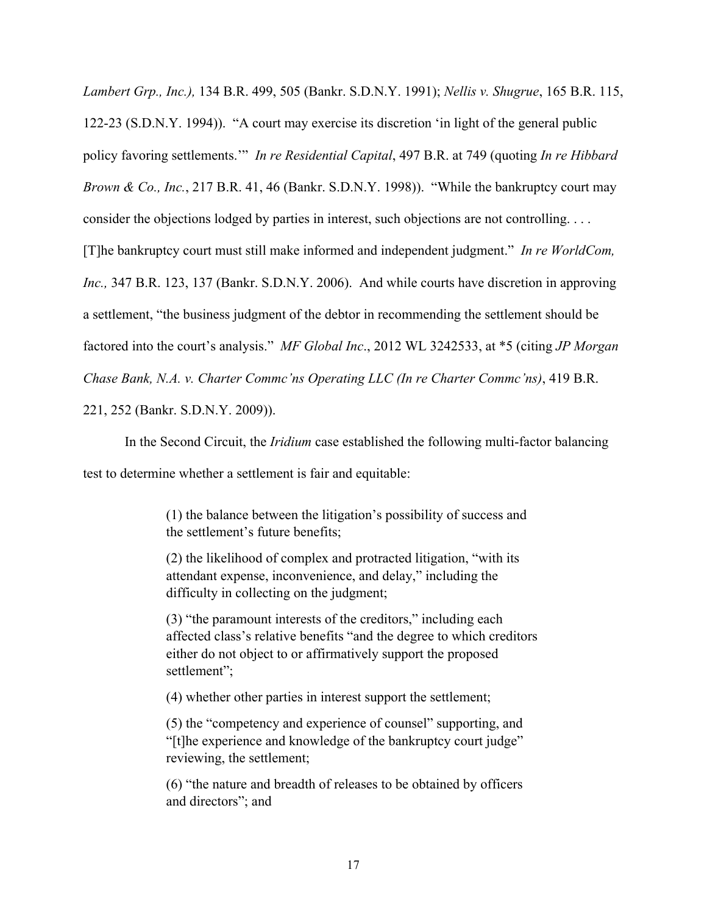*Lambert Grp., Inc.),* 134 B.R. 499, 505 (Bankr. S.D.N.Y. 1991); *Nellis v. Shugrue*, 165 B.R. 115, 122-23 (S.D.N.Y. 1994)). "A court may exercise its discretion 'in light of the general public policy favoring settlements.'" *In re Residential Capital*, 497 B.R. at 749 (quoting *In re Hibbard Brown & Co., Inc.*, 217 B.R. 41, 46 (Bankr. S.D.N.Y. 1998)). "While the bankruptcy court may consider the objections lodged by parties in interest, such objections are not controlling. . . . [T]he bankruptcy court must still make informed and independent judgment." *In re WorldCom, Inc.,* 347 B.R. 123, 137 (Bankr. S.D.N.Y. 2006). And while courts have discretion in approving a settlement, "the business judgment of the debtor in recommending the settlement should be factored into the court's analysis." *MF Global Inc*., 2012 WL 3242533, at \*5 (citing *JP Morgan Chase Bank, N.A. v. Charter Commc'ns Operating LLC (In re Charter Commc'ns)*, 419 B.R. 221, 252 (Bankr. S.D.N.Y. 2009)).

In the Second Circuit, the *Iridium* case established the following multi-factor balancing test to determine whether a settlement is fair and equitable:

> (1) the balance between the litigation's possibility of success and the settlement's future benefits;

(2) the likelihood of complex and protracted litigation, "with its attendant expense, inconvenience, and delay," including the difficulty in collecting on the judgment;

(3) "the paramount interests of the creditors," including each affected class's relative benefits "and the degree to which creditors either do not object to or affirmatively support the proposed settlement";

(4) whether other parties in interest support the settlement;

(5) the "competency and experience of counsel" supporting, and "[t]he experience and knowledge of the bankruptcy court judge" reviewing, the settlement;

(6) "the nature and breadth of releases to be obtained by officers and directors"; and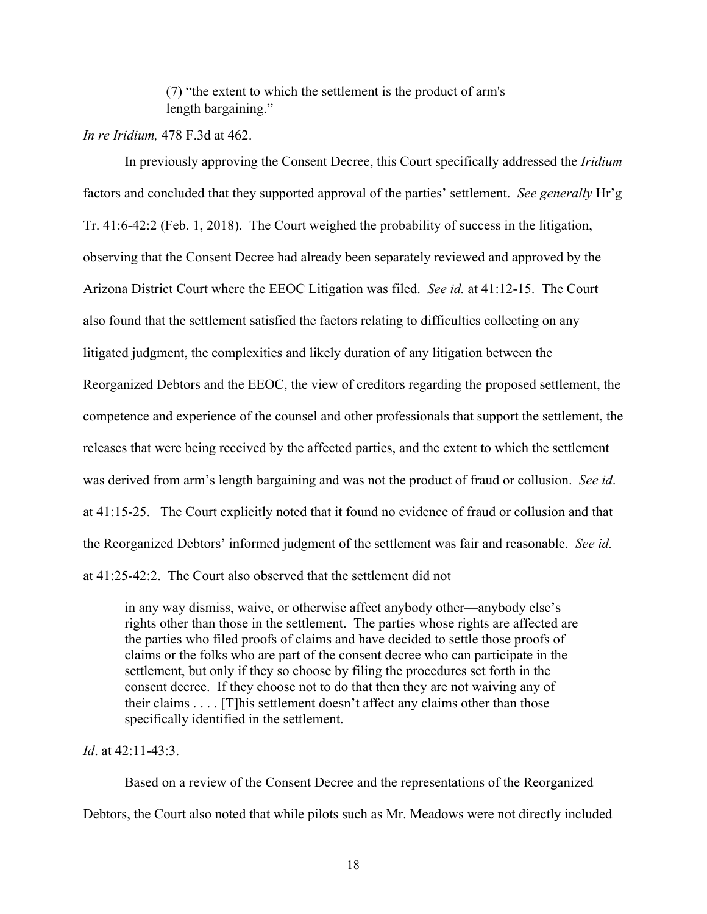(7) "the extent to which the settlement is the product of arm's length bargaining."

# *In re Iridium,* 478 F.3d at 462.

In previously approving the Consent Decree, this Court specifically addressed the *Iridium* factors and concluded that they supported approval of the parties' settlement. *See generally* Hr'g Tr. 41:6-42:2 (Feb. 1, 2018). The Court weighed the probability of success in the litigation, observing that the Consent Decree had already been separately reviewed and approved by the Arizona District Court where the EEOC Litigation was filed. *See id.* at 41:12-15. The Court also found that the settlement satisfied the factors relating to difficulties collecting on any litigated judgment, the complexities and likely duration of any litigation between the Reorganized Debtors and the EEOC, the view of creditors regarding the proposed settlement, the competence and experience of the counsel and other professionals that support the settlement, the releases that were being received by the affected parties, and the extent to which the settlement was derived from arm's length bargaining and was not the product of fraud or collusion. *See id*. at 41:15-25. The Court explicitly noted that it found no evidence of fraud or collusion and that the Reorganized Debtors' informed judgment of the settlement was fair and reasonable. *See id.*  at 41:25-42:2. The Court also observed that the settlement did not

in any way dismiss, waive, or otherwise affect anybody other—anybody else's rights other than those in the settlement. The parties whose rights are affected are the parties who filed proofs of claims and have decided to settle those proofs of claims or the folks who are part of the consent decree who can participate in the settlement, but only if they so choose by filing the procedures set forth in the consent decree. If they choose not to do that then they are not waiving any of their claims . . . . [T]his settlement doesn't affect any claims other than those specifically identified in the settlement.

# *Id*. at 42:11-43:3.

Based on a review of the Consent Decree and the representations of the Reorganized Debtors, the Court also noted that while pilots such as Mr. Meadows were not directly included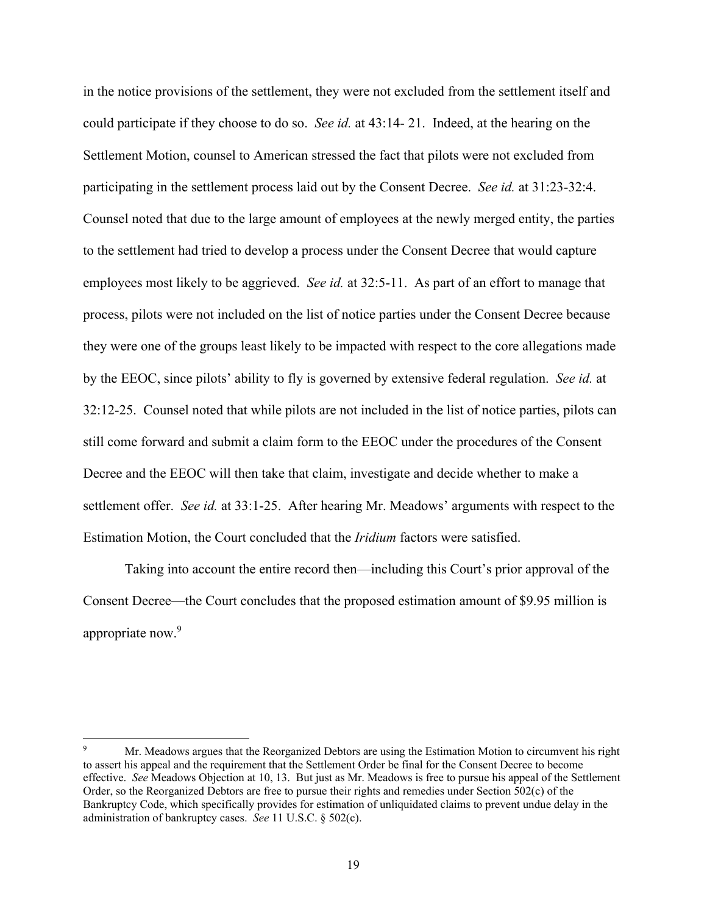in the notice provisions of the settlement, they were not excluded from the settlement itself and could participate if they choose to do so. *See id.* at 43:14- 21. Indeed, at the hearing on the Settlement Motion, counsel to American stressed the fact that pilots were not excluded from participating in the settlement process laid out by the Consent Decree. *See id.* at 31:23-32:4. Counsel noted that due to the large amount of employees at the newly merged entity, the parties to the settlement had tried to develop a process under the Consent Decree that would capture employees most likely to be aggrieved. *See id.* at 32:5-11. As part of an effort to manage that process, pilots were not included on the list of notice parties under the Consent Decree because they were one of the groups least likely to be impacted with respect to the core allegations made by the EEOC, since pilots' ability to fly is governed by extensive federal regulation. *See id.* at 32:12-25. Counsel noted that while pilots are not included in the list of notice parties, pilots can still come forward and submit a claim form to the EEOC under the procedures of the Consent Decree and the EEOC will then take that claim, investigate and decide whether to make a settlement offer. *See id.* at 33:1-25. After hearing Mr. Meadows' arguments with respect to the Estimation Motion, the Court concluded that the *Iridium* factors were satisfied.

Taking into account the entire record then—including this Court's prior approval of the Consent Decree—the Court concludes that the proposed estimation amount of \$9.95 million is appropriate now.<sup>9</sup>

<sup>9</sup> Mr. Meadows argues that the Reorganized Debtors are using the Estimation Motion to circumvent his right to assert his appeal and the requirement that the Settlement Order be final for the Consent Decree to become effective. *See* Meadows Objection at 10, 13. But just as Mr. Meadows is free to pursue his appeal of the Settlement Order, so the Reorganized Debtors are free to pursue their rights and remedies under Section 502(c) of the Bankruptcy Code, which specifically provides for estimation of unliquidated claims to prevent undue delay in the administration of bankruptcy cases. *See* 11 U.S.C. § 502(c).